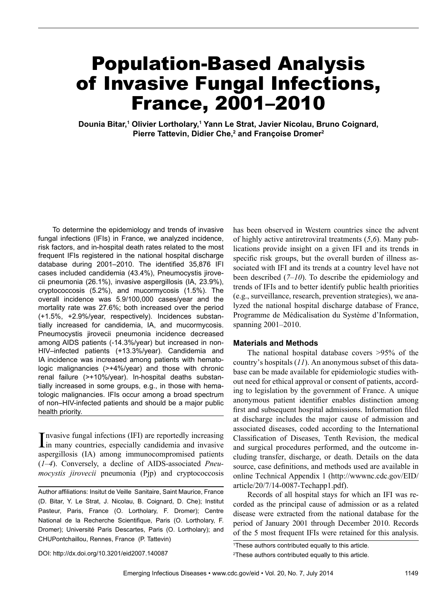# Population-Based Analysis of Invasive Fungal Infections, France, 2001–2010

Dounia Bitar,<sup>1</sup> Olivier Lortholary,<sup>1</sup> Yann Le Strat, Javier Nicolau, Bruno Coignard, **Pierre Tattevin, Didier Che,2 and Françoise Dromer2**

To determine the epidemiology and trends of invasive fungal infections (IFIs) in France, we analyzed incidence, risk factors, and in-hospital death rates related to the most frequent IFIs registered in the national hospital discharge database during 2001–2010. The identified 35,876 IFI cases included candidemia (43.4%), Pneumocystis jirovecii pneumonia (26.1%), invasive aspergillosis (IA, 23.9%), cryptococcosis (5.2%), and mucormycosis (1.5%). The overall incidence was 5.9/100,000 cases/year and the mortality rate was 27.6%; both increased over the period (+1.5%, +2.9%/year, respectively). Incidences substantially increased for candidemia, IA, and mucormycosis. Pneumocystis jirovecii pneumonia incidence decreased among AIDS patients (-14.3%/year) but increased in non-HIV–infected patients (+13.3%/year). Candidemia and IA incidence was increased among patients with hematologic malignancies (>+4%/year) and those with chronic renal failure (>+10%/year). In-hospital deaths substantially increased in some groups, e.g., in those with hematologic malignancies. IFIs occur among a broad spectrum of non–HIV-infected patients and should be a major public health priority.

Invasive fungal infections (IFI) are reportedly increasing<br>in many countries, especially candidemia and invasive nvasive fungal infections (IFI) are reportedly increasing aspergillosis (IA) among immunocompromised patients (*1*–*4*). Conversely, a decline of AIDS-associated *Pneumocystis jirovecii* pneumonia (Pjp) and cryptococcosis

Author affiliations: Insitut de Veille Sanitaire, Saint Maurice, France (D. Bitar, Y. Le Strat, J. Nicolau, B. Coignard, D. Che); Institut Pasteur, Paris, France (O. Lortholary, F. Dromer); Centre National de la Recherche Scientifique, Paris (O. Lortholary, F. Dromer); Université Paris Descartes, Paris (O. Lortholary); and CHUPontchaillou, Rennes, France (P. Tattevin)

has been observed in Western countries since the advent of highly active antiretroviral treatments (*5*,*6*). Many publications provide insight on a given IFI and its trends in specific risk groups, but the overall burden of illness associated with IFI and its trends at a country level have not been described (*7*–*10*). To describe the epidemiology and trends of IFIs and to better identify public health priorities (e.g., surveillance, research, prevention strategies), we analyzed the national hospital discharge database of France, Programme de Médicalisation du Système d'Information, spanning 2001–2010.

#### **Materials and Methods**

The national hospital database covers >95% of the country's hospitals (*11*). An anonymous subset of this database can be made available for epidemiologic studies without need for ethical approval or consent of patients, according to legislation by the government of France. A unique anonymous patient identifier enables distinction among first and subsequent hospital admissions. Information filed at discharge includes the major cause of admission and associated diseases, coded according to the International Classification of Diseases, Tenth Revision, the medical and surgical procedures performed, and the outcome including transfer, discharge, or death. Details on the data source, case definitions, and methods used are available in online Technical Appendix 1 (http://wwwnc.cdc.gov/EID/ article/20/7/14-0087-Techapp1.pdf).

Records of all hospital stays for which an IFI was recorded as the principal cause of admission or as a related disease were extracted from the national database for the period of January 2001 through December 2010. Records of the 5 most frequent IFIs were retained for this analysis.

<sup>1</sup> These authors contributed equally to this article.

<sup>2</sup> These authors contributed equally to this article.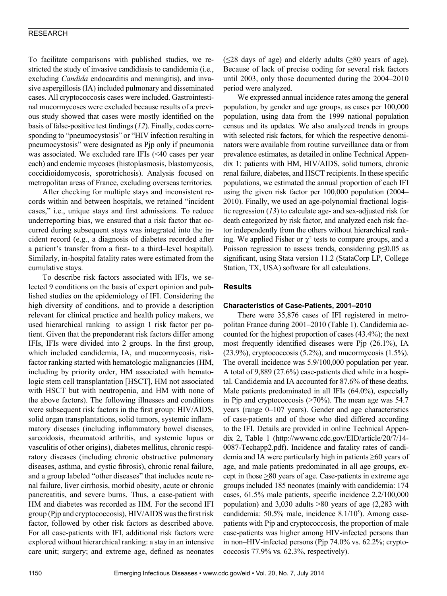#### RESEARCH

To facilitate comparisons with published studies, we restricted the study of invasive candidiasis to candidemia (i.e*.*, excluding *Candida* endocarditis and meningitis), and invasive aspergillosis (IA) included pulmonary and disseminated cases. All cryptococcosis cases were included. Gastrointestinal mucormycoses were excluded because results of a previous study showed that cases were mostly identified on the basis of false-positive test findings (*12*). Finally, codes corresponding to "pneumocystosis" or "HIV infection resulting in pneumocystosis" were designated as Pjp only if pneumonia was associated. We excluded rare IFIs (<40 cases per year each) and endemic mycoses (histoplasmosis, blastomycosis, coccidioidomycosis, sporotrichosis). Analysis focused on metropolitan areas of France, excluding overseas territories.

After checking for multiple stays and inconsistent records within and between hospitals, we retained "incident cases," i.e., unique stays and first admissions. To reduce underreporting bias, we ensured that a risk factor that occurred during subsequent stays was integrated into the incident record (e.g., a diagnosis of diabetes recorded after a patient's transfer from a first- to a third–level hospital). Similarly, in-hospital fatality rates were estimated from the cumulative stays.

To describe risk factors associated with IFIs, we selected 9 conditions on the basis of expert opinion and published studies on the epidemiology of IFI. Considering the high diversity of conditions, and to provide a description relevant for clinical practice and health policy makers, we used hierarchical ranking to assign 1 risk factor per patient. Given that the preponderant risk factors differ among IFIs, IFIs were divided into 2 groups. In the first group, which included candidemia, IA, and mucormycosis, riskfactor ranking started with hematologic malignancies (HM, including by priority order, HM associated with hematologic stem cell transplantation [HSCT], HM not associated with HSCT but with neutropenia, and HM with none of the above factors). The following illnesses and conditions were subsequent risk factors in the first group: HIV/AIDS, solid organ transplantations, solid tumors, systemic inflammatory diseases (including inflammatory bowel diseases, sarcoidosis, rheumatoid arthritis, and systemic lupus or vasculitis of other origins), diabetes mellitus, chronic respiratory diseases (including chronic obstructive pulmonary diseases, asthma, and cystic fibrosis), chronic renal failure, and a group labeled "other diseases" that includes acute renal failure, liver cirrhosis, morbid obesity, acute or chronic pancreatitis, and severe burns. Thus, a case-patient with HM and diabetes was recorded as HM. For the second IFI group (Pjp and cryptococcosis), HIV/AIDS was the first risk factor, followed by other risk factors as described above. For all case-patients with IFI, additional risk factors were explored without hierarchical ranking: a stay in an intensive care unit; surgery; and extreme age, defined as neonates

 $(\leq 28$  days of age) and elderly adults ( $\geq 80$  years of age). Because of lack of precise coding for several risk factors until 2003, only those documented during the 2004–2010 period were analyzed.

We expressed annual incidence rates among the general population, by gender and age groups, as cases per 100,000 population, using data from the 1999 national population census and its updates. We also analyzed trends in groups with selected risk factors, for which the respective denominators were available from routine surveillance data or from prevalence estimates, as detailed in online Technical Appendix 1: patients with HM, HIV/AIDS, solid tumors, chronic renal failure, diabetes, and HSCT recipients. In these specific populations, we estimated the annual proportion of each IFI using the given risk factor per 100,000 population (2004– 2010). Finally, we used an age-polynomial fractional logistic regression (*13*) to calculate age- and sex-adjusted risk for death categorized by risk factor, and analyzed each risk factor independently from the others without hierarchical ranking. We applied Fisher or  $\chi^2$  tests to compare groups, and a Poisson regression to assess trends, considering p≤0.05 as significant, using Stata version 11.2 (StataCorp LP, College Station, TX, USA) software for all calculations.

# **Results**

#### **Characteristics of Case-Patients, 2001–2010**

There were 35,876 cases of IFI registered in metropolitan France during 2001–2010 (Table 1). Candidemia accounted for the highest proportion of cases (43.4%); the next most frequently identified diseases were Pjp (26.1%), IA  $(23.9\%)$ , cryptococcosis  $(5.2\%)$ , and mucormycosis  $(1.5\%)$ . The overall incidence was 5.9/100,000 population per year. A total of 9,889 (27.6%) case-patients died while in a hospital. Candidemia and IA accounted for 87.6% of these deaths. Male patients predominated in all IFIs (64.0%), especially in Pjp and cryptococcosis (>70%). The mean age was 54.7 years (range 0–107 years). Gender and age characteristics of case-patients and of those who died differed according to the IFI. Details are provided in online Technical Appendix 2, Table 1 (http://wwwnc.cdc.gov/EID/article/20/7/14- 0087-Techapp2.pdf). Incidence and fatality rates of candidemia and IA were particularly high in patients ≥60 years of age, and male patients predominated in all age groups, except in those  $\geq 80$  years of age. Case-patients in extreme age groups included 185 neonates (mainly with candidemia: 174 cases, 61.5% male patients, specific incidence 2.2/100,000 population) and 3,030 adults >80 years of age (2,283 with candidemia: 50.5% male, incidence 8.1/10<sup>5</sup>). Among casepatients with Pjp and cryptococcosis, the proportion of male case-patients was higher among HIV-infected persons than in non–HIV-infected persons (Pjp 74.0% vs. 62.2%; cryptococcosis 77.9% vs. 62.3%, respectively).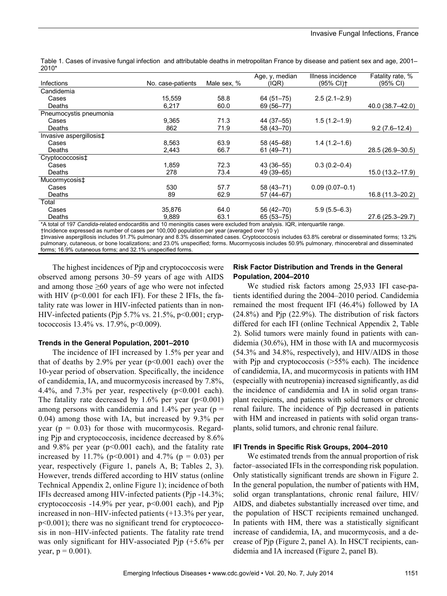|                                                                                                                             |                   |             | Age, y, median | Illness incidence     | Fatality rate, %  |
|-----------------------------------------------------------------------------------------------------------------------------|-------------------|-------------|----------------|-----------------------|-------------------|
| <b>Infections</b>                                                                                                           | No. case-patients | Male sex, % | (IQR)          | (95% CI) <sup>+</sup> | (95% CI)          |
| Candidemia                                                                                                                  |                   |             |                |                       |                   |
| Cases                                                                                                                       | 15,559            | 58.8        | $64(51 - 75)$  | $2.5(2.1-2.9)$        |                   |
| Deaths                                                                                                                      | 6,217             | 60.0        | 69 (56-77)     |                       | 40.0 (38.7-42.0)  |
| Pneumocystis pneumonia                                                                                                      |                   |             |                |                       |                   |
| Cases                                                                                                                       | 9,365             | 71.3        | 44 (37-55)     | $1.5(1.2-1.9)$        |                   |
| Deaths                                                                                                                      | 862               | 71.9        | 58 (43-70)     |                       | $9.2(7.6 - 12.4)$ |
| Invasive aspergillosis‡                                                                                                     |                   |             |                |                       |                   |
| Cases                                                                                                                       | 8.563             | 63.9        | 58 (45-68)     | $1.4(1.2-1.6)$        |                   |
| Deaths                                                                                                                      | 2,443             | 66.7        | 61 (49-71)     |                       | 28.5 (26.9-30.5)  |
| Cryptococcosis‡                                                                                                             |                   |             |                |                       |                   |
| Cases                                                                                                                       | 1,859             | 72.3        | 43 (36-55)     | $0.3(0.2 - 0.4)$      |                   |
| Deaths                                                                                                                      | 278               | 73.4        | 49 (39 - 65)   |                       | 15.0 (13.2-17.9)  |
| Mucormycosis‡                                                                                                               |                   |             |                |                       |                   |
| Cases                                                                                                                       | 530               | 57.7        | 58 (43-71)     | $0.09(0.07 - 0.1)$    |                   |
| Deaths                                                                                                                      | 89                | 62.9        | 57 (44-67)     |                       | 16.8 (11.3-20.2)  |
| Total                                                                                                                       |                   |             |                |                       |                   |
| Cases                                                                                                                       | 35,876            | 64.0        | 56 (42-70)     | $5.9(5.5 - 6.3)$      |                   |
| Deaths                                                                                                                      | 9.889             | 63.1        | 65 (53-75)     |                       | 27.6 (25.3-29.7)  |
| *A total of 197 Candida-related endocarditis and 10 meningitis cases were excluded from analysis. IQR, interguartile range, |                   |             |                |                       |                   |

Table 1. Cases of invasive fungal infection and attributable deaths in metropolitan France by disease and patient sex and age, 2001– 2010\*

†Incidence expressed as number of cases per 100,000 population per year (averaged over 10 y)

‡Invasive aspergillosis includes 91.7% pulmonary and 8.3% disseminated cases. Cryptococcosis includes 63.8% cerebral or disseminated forms; 13.2% pulmonary, cutaneous, or bone localizations; and 23.0% unspecified; forms. Mucormycosis includes 50.9% pulmonary, rhinocerebral and disseminated forms; 16.9% cutaneous forms; and 32.1% unspecified forms.

The highest incidences of Pjp and cryptococcosis were observed among persons 30–59 years of age with AIDS and among those ≥60 years of age who were not infected with HIV ( $p<0.001$  for each IFI). For these 2 IFIs, the fatality rate was lower in HIV-infected patients than in non-HIV-infected patients (Pjp 5.7% vs. 21.5%, p<0.001; cryptococcosis 13.4% vs. 17.9%, p<0.009).

#### **Trends in the General Population, 2001–2010**

The incidence of IFI increased by 1.5% per year and that of deaths by 2.9% per year ( $p<0.001$  each) over the 10-year period of observation. Specifically, the incidence of candidemia, IA, and mucormycosis increased by 7.8%, 4.4%, and 7.3% per year, respectively  $(p<0.001$  each). The fatality rate decreased by 1.6% per year  $(p<0.001)$ among persons with candidemia and  $1.4\%$  per year (p = 0.04) among those with IA, but increased by 9.3% per year ( $p = 0.03$ ) for those with mucormycosis. Regarding Pjp and cryptococcosis, incidence decreased by 8.6% and 9.8% per year ( $p<0.001$  each), and the fatality rate increased by 11.7% ( $p<0.001$ ) and 4.7% ( $p = 0.03$ ) per year, respectively (Figure 1, panels A, B; Tables 2, 3). However, trends differed according to HIV status (online Technical Appendix 2, online Figure 1); incidence of both IFIs decreased among HIV-infected patients (Pjp -14.3%; cryptococcosis -14.9% per year,  $p<0.001$  each), and Pjp increased in non–HIV-infected patients (+13.3% per year, p<0.001); there was no significant trend for cryptococcosis in non–HIV-infected patients. The fatality rate trend was only significant for HIV-associated Pjp (+5.6% per year,  $p = 0.001$ ).

# **Risk Factor Distribution and Trends in the General Population, 2004–2010**

We studied risk factors among 25,933 IFI case-patients identified during the 2004–2010 period. Candidemia remained the most frequent IFI (46.4%) followed by IA (24.8%) and Pjp (22.9%). The distribution of risk factors differed for each IFI (online Technical Appendix 2, Table 2). Solid tumors were mainly found in patients with candidemia (30.6%), HM in those with IA and mucormycosis (54.3% and 34.8%, respectively), and HIV/AIDS in those with Pjp and cryptococcosis ( $>55\%$  each). The incidence of candidemia, IA, and mucormycosis in patients with HM (especially with neutropenia) increased significantly, as did the incidence of candidemia and IA in solid organ transplant recipients, and patients with solid tumors or chronic renal failure. The incidence of Pjp decreased in patients with HM and increased in patients with solid organ transplants, solid tumors, and chronic renal failure.

### **IFI Trends in Specific Risk Groups, 2004–2010**

We estimated trends from the annual proportion of risk factor–associated IFIs in the corresponding risk population. Only statistically significant trends are shown in Figure 2. In the general population, the number of patients with HM, solid organ transplantations, chronic renal failure, HIV/ AIDS, and diabetes substantially increased over time, and the population of HSCT recipients remained unchanged. In patients with HM, there was a statistically significant increase of candidemia, IA, and mucormycosis, and a decrease of Pjp (Figure 2, panel A). In HSCT recipients, candidemia and IA increased (Figure 2, panel B).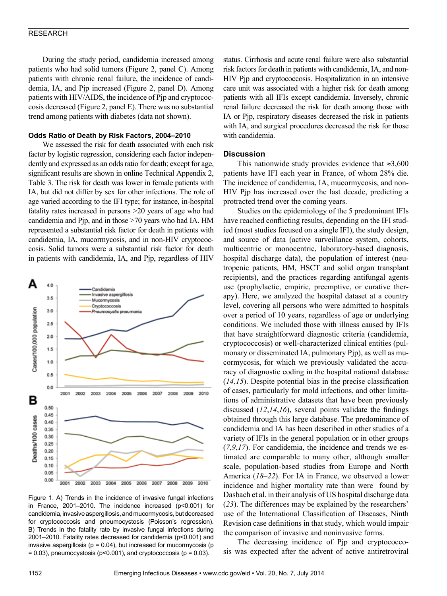#### RESEARCH

During the study period, candidemia increased among patients who had solid tumors (Figure 2, panel C). Among patients with chronic renal failure, the incidence of candidemia, IA, and Pjp increased (Figure 2, panel D). Among patients with HIV/AIDS, the incidence of Pjp and cryptococcosis decreased (Figure 2, panel E). There was no substantial trend among patients with diabetes (data not shown).

#### **Odds Ratio of Death by Risk Factors, 2004–2010**

We assessed the risk for death associated with each risk factor by logistic regression, considering each factor independently and expressed as an odds ratio for death; except for age, significant results are shown in online Technical Appendix 2, Table 3. The risk for death was lower in female patients with IA, but did not differ by sex for other infections. The role of age varied according to the IFI type; for instance, in-hospital fatality rates increased in persons >20 years of age who had candidemia and Pjp, and in those >70 years who had IA. HM represented a substantial risk factor for death in patients with candidemia, IA, mucormycosis, and in non-HIV cryptococcosis. Solid tumors were a substantial risk factor for death in patients with candidemia, IA, and Pjp, regardless of HIV



Figure 1. A) Trends in the incidence of invasive fungal infections in France, 2001–2010. The incidence increased (p<0.001) for candidemia, invasive aspergillosis, and mucormycosis, but decreased for cryptococcosis and pneumocystosis (Poisson's regression). B) Trends in the fatality rate by invasive fungal infections during 2001–2010. Fatality rates decreased for candidemia (p<0.001) and invasive aspergillosis ( $p = 0.04$ ), but increased for mucormycosis ( $p$  $= 0.03$ ), pneumocystosis (p<0.001), and cryptococcosis (p  $= 0.03$ ).

status. Cirrhosis and acute renal failure were also substantial risk factors for death in patients with candidemia, IA, and non-HIV Pjp and cryptococcosis. Hospitalization in an intensive care unit was associated with a higher risk for death among patients with all IFIs except candidemia. Inversely, chronic renal failure decreased the risk for death among those with IA or Pjp, respiratory diseases decreased the risk in patients with IA, and surgical procedures decreased the risk for those with candidemia.

#### **Discussion**

This nationwide study provides evidence that  $\approx 3,600$ patients have IFI each year in France, of whom 28% die. The incidence of candidemia, IA, mucormycosis, and non-HIV Pjp has increased over the last decade, predicting a protracted trend over the coming years.

Studies on the epidemiology of the 5 predominant IFIs have reached conflicting results, depending on the IFI studied (most studies focused on a single IFI), the study design, and source of data (active surveillance system, cohorts, multicentric or monocentric, laboratory-based diagnosis, hospital discharge data), the population of interest (neutropenic patients, HM, HSCT and solid organ transplant recipients), and the practices regarding antifungal agents use (prophylactic, empiric, preemptive, or curative therapy). Here, we analyzed the hospital dataset at a country level, covering all persons who were admitted to hospitals over a period of 10 years, regardless of age or underlying conditions. We included those with illness caused by IFIs that have straightforward diagnostic criteria (candidemia, cryptococcosis) or well-characterized clinical entities (pulmonary or disseminated IA, pulmonary Pjp), as well as mucormycosis, for which we previously validated the accuracy of diagnostic coding in the hospital national database (*14*,*15*). Despite potential bias in the precise classification of cases, particularly for mold infections, and other limitations of administrative datasets that have been previously discussed (*12*,*14*,*16*), several points validate the findings obtained through this large database. The predominance of candidemia and IA has been described in other studies of a variety of IFIs in the general population or in other groups (*7*,*9*,*17*). For candidemia, the incidence and trends we estimated are comparable to many other, although smaller scale, population-based studies from Europe and North America (*18*–*22*). For IA in France, we observed a lower incidence and higher mortality rate than were found by Dasbach et al. in their analysis of US hospital discharge data (*23*). The differences may be explained by the researchers' use of the International Classification of Diseases, Ninth Revision case definitions in that study, which would impair the comparison of invasive and noninvasive forms.

The decreasing incidence of Pjp and cryptococcosis was expected after the advent of active antiretroviral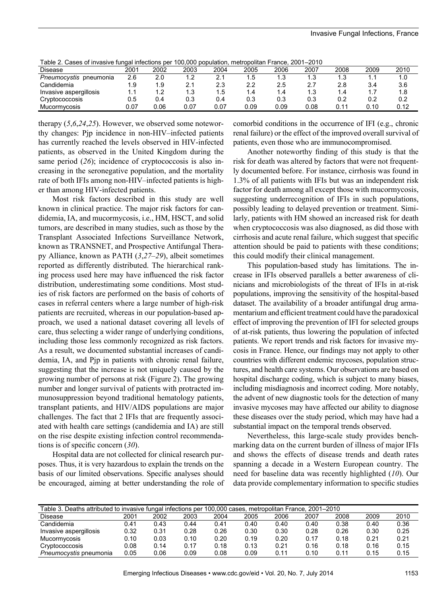| Table 2. Odses of invasive fundaminections bel<br><b>TOO.OOO DODURIQIDII. MIGUQDOMQITT FQHCC. ZOO I<math>\pm</math>zo TO</b> |      |      |      |      |      |      |      |      |      |      |
|------------------------------------------------------------------------------------------------------------------------------|------|------|------|------|------|------|------|------|------|------|
| <b>Disease</b>                                                                                                               | 2001 | 2002 | 2003 | 2004 | 2005 | 2006 | 2007 | 2008 | 2009 | 2010 |
| Pneumocystis<br>pneumonia                                                                                                    | 2.6  | 2.0  |      |      | . 5  | . .3 | l.3  |      |      | i.O  |
| Candidemia                                                                                                                   | 1.9  | 1.9  |      | 2.3  | 2.2  | 2.5  |      | 2.8  | 3.4  | 3.6  |
| Invasive aspergillosis                                                                                                       |      | 1.2  | 1.3  | 1.5  | 1.4  | 1.4  | 1.3  | 1.4  |      | 1.8  |
| Cryptococcosis                                                                                                               | 0.5  | 0.4  | 0.3  | 0.4  | 0.3  | 0.3  | 0.3  | 0.2  | 0.2  | 0.2  |
| Mucormycosis                                                                                                                 | 0.07 | 0.06 | 0.07 | 0.07 | 0.09 | 0.09 | 0.08 | 0.11 | 0.10 | 0.12 |

Table 2. Cases of invasive fungal infections per 100,000 population, metropolitan France, 2001–2010

therapy (*5*,*6*,*24*,*25*). However, we observed some noteworthy changes: Pjp incidence in non-HIV–infected patients has currently reached the levels observed in HIV-infected patients, as observed in the United Kingdom during the same period (26); incidence of cryptococcosis is also increasing in the seronegative population, and the mortality rate of both IFIs among non-HIV–infected patients is higher than among HIV-infected patients.

Most risk factors described in this study are well known in clinical practice. The major risk factors for candidemia, IA, and mucormycosis, i.e., HM, HSCT, and solid tumors, are described in many studies, such as those by the Transplant Associated Infections Surveillance Network, known as TRANSNET, and Prospective Antifungal Therapy Alliance, known as PATH (*3*,*27*–*29*), albeit sometimes reported as differently distributed. The hierarchical ranking process used here may have influenced the risk factor distribution, underestimating some conditions. Most studies of risk factors are performed on the basis of cohorts of cases in referral centers where a large number of high-risk patients are recruited, whereas in our population-based approach, we used a national dataset covering all levels of care, thus selecting a wider range of underlying conditions, including those less commonly recognized as risk factors. As a result, we documented substantial increases of candidemia, IA, and Pjp in patients with chronic renal failure, suggesting that the increase is not uniquely caused by the growing number of persons at risk (Figure 2). The growing number and longer survival of patients with protracted immunosuppression beyond traditional hematology patients, transplant patients, and HIV/AIDS populations are major challenges. The fact that 2 IFIs that are frequently associated with health care settings (candidemia and IA) are still on the rise despite existing infection control recommendations is of specific concern (*30*).

Hospital data are not collected for clinical research purposes. Thus, it is very hazardous to explain the trends on the basis of our limited observations. Specific analyses should be encouraged, aiming at better understanding the role of

comorbid conditions in the occurrence of IFI (e.g., chronic renal failure) or the effect of the improved overall survival of patients, even those who are immunocompromised.

Another noteworthy finding of this study is that the risk for death was altered by factors that were not frequently documented before. For instance, cirrhosis was found in 1.3% of all patients with IFIs but was an independent risk factor for death among all except those with mucormycosis, suggesting underrecognition of IFIs in such populations, possibly leading to delayed prevention or treatment. Similarly, patients with HM showed an increased risk for death when cryptococcosis was also diagnosed, as did those with cirrhosis and acute renal failure, which suggest that specific attention should be paid to patients with these conditions; this could modify their clinical management.

This population-based study has limitations. The increase in IFIs observed parallels a better awareness of clinicians and microbiologists of the threat of IFIs in at-risk populations, improving the sensitivity of the hospital-based dataset. The availability of a broader antifungal drug armamentarium and efficient treatment could have the paradoxical effect of improving the prevention of IFI for selected groups of at-risk patients, thus lowering the population of infected patients. We report trends and risk factors for invasive mycosis in France. Hence, our findings may not apply to other countries with different endemic mycoses, population structures, and health care systems. Our observations are based on hospital discharge coding, which is subject to many biases, including misdiagnosis and incorrect coding. More notably, the advent of new diagnostic tools for the detection of many invasive mycoses may have affected our ability to diagnose these diseases over the study period, which may have had a substantial impact on the temporal trends observed.

Nevertheless, this large-scale study provides benchmarking data on the current burden of illness of major IFIs and shows the effects of disease trends and death rates spanning a decade in a Western European country. The need for baseline data was recently highlighted (*10*). Our data provide complementary information to specific studies

| Table 3. Deaths attributed to invasive fungal infections per 100,000 cases, metropolitan France, 2001–2010 |      |      |      |      |      |      |      |      |      |      |
|------------------------------------------------------------------------------------------------------------|------|------|------|------|------|------|------|------|------|------|
| <b>Disease</b>                                                                                             | 2001 | 2002 | 2003 | 2004 | 2005 | 2006 | 2007 | 2008 | 2009 | 2010 |
| Candidemia                                                                                                 | 0.41 | 0.43 | 0.44 | 0.41 | 0.40 | 0.40 | 0.40 | 0.38 | 0.40 | 0.36 |
| Invasive aspergillosis                                                                                     | 0.32 | 0.31 | 0.28 | 0.26 | 0.30 | 0.30 | 0.28 | 0.26 | 0.30 | 0.25 |
| Mucormycosis                                                                                               | 0.10 | 0.03 | 0.10 | 0.20 | 0.19 | 0.20 | 0.17 | 0.18 | 0.21 | 0.21 |
| Cryptococcosis                                                                                             | 0.08 | 0.14 | 0.17 | 0.18 | 0.13 | 0.21 | 0.16 | 0.18 | 0.16 | 0.15 |
| Pneumocystis pneumonia                                                                                     | 0.05 | 0.06 | 0.09 | 0.08 | 0.09 | 0.11 | 0.10 | 0.11 | 0.15 | 0.15 |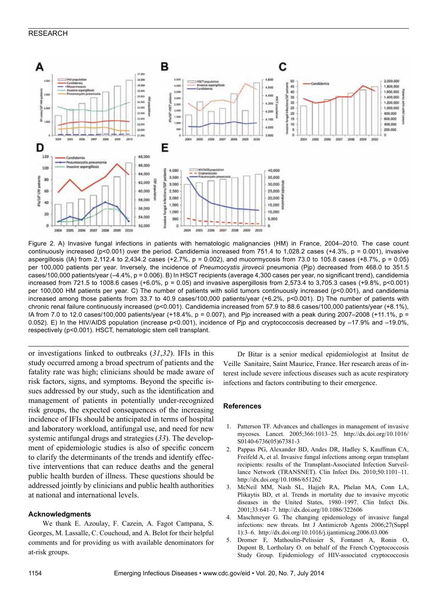## RESEARCH



Figure 2. A) Invasive fungal infections in patients with hematologic malignancies (HM) in France, 2004–2010. The case count continuously increased ( $p<0.001$ ) over the period. Candidemia increased from 751.4 to 1,028.2 cases (+4.3%,  $p = 0.001$ ), invasive aspergillosis (IA) from 2,112.4 to 2,434.2 cases  $(+2.7\% , p = 0.002)$ , and mucormycosis from 73.0 to 105.8 cases  $(+8.7\% , p = 0.05)$ per 100,000 patients per year. Inversely, the incidence of *Pneumocystis jirovecii* pneumonia (Pjp) decreased from 468.0 to 351.5 cases/100,000 patients/year (–4.4%, p = 0.006). B) In HSCT recipients (average 4,300 cases per year, no significant trend), candidemia increased from 721.5 to 1008.6 cases (+6.0%, p = 0.05) and invasive aspergillosis from 2,573.4 to 3,705.3 cases (+9.8%, p<0.001) per 100,000 HM patients per year. C) The number of patients with solid tumors continuously increased (p<0.001), and candidemia increased among those patients from 33.7 to 40.9 cases/100,000 patients/year (+6.2%, p<0.001). D) The number of patients with chronic renal failure continuously increased (p<0.001). Candidemia increased from 57.9 to 88.6 cases/100,000 patients/year (+8.1%), IA from 7.0 to 12.0 cases/100,000 patients/year (+18.4%, p = 0.007), and Pjp increased with a peak during 2007–2008 (+11.1%, p = 0.052). E) In the HIV/AIDS population (increase p<0.001), incidence of Pjp and cryptococcosis decreased by –17.9% and –19.0%, respectively (p<0.001). HSCT, hematologic stem cell transplant.

or investigations linked to outbreaks (*31*,*32*). IFIs in this study occurred among a broad spectrum of patients and the fatality rate was high; clinicians should be made aware of risk factors, signs, and symptoms. Beyond the specific issues addressed by our study, such as the identification and management of patients in potentially under-recognized risk groups, the expected consequences of the increasing incidence of IFIs should be anticipated in terms of hospital and laboratory workload, antifungal use, and need for new systemic antifungal drugs and strategies (*33*). The development of epidemiologic studies is also of specific concern to clarify the determinants of the trends and identify effective interventions that can reduce deaths and the general public health burden of illness. These questions should be addressed jointly by clinicians and public health authorities at national and international levels.

#### **Acknowledgments**

We thank E. Azoulay, F. Cazein, A. Fagot Campana, S. Georges, M. Lassalle, C. Couchoud, and A. Belot for their helpful comments and for providing us with available denominators for at-risk groups.

Dr Bitar is a senior medical epidemiologist at Insitut de Veille Sanitaire, Saint Maurice, France. Her research areas of interest include severe infectious diseases such as acute respiratory infections and factors contributing to their emergence.

#### **References**

- 1. Patterson TF. Advances and challenges in management of invasive mycoses. Lancet. 2005;366:1013–25. http://dx.doi.org/10.1016/ S0140-6736(05)67381-3
- 2. Pappas PG, Alexander BD, Andes DR, Hadley S, Kauffman CA, Freifeld A, et al. Invasive fungal infections among organ transplant recipients: results of the Transplant-Associated Infection Surveillance Network (TRANSNET). Clin Infect Dis. 2010;50:1101–11. http://dx.doi.org/10.1086/651262
- 3. McNeil MM, Nash SL, Hajjeh RA, Phelan MA, Conn LA, Plikaytis BD, et al. Trends in mortality due to invasive mycotic diseases in the United States, 1980–1997. Clin Infect Dis. 2001;33:641–7. http://dx.doi.org/10.1086/322606
- 4. Maschmeyer G. The changing epidemiology of invasive fungal infections: new threats. Int J Antimicrob Agents 2006;27(Suppl 1):3–6. http://dx.doi.org/10.1016/j.ijantimicag.2006.03.006
- 5. Dromer F, Mathoulin-Pelissier S, Fontanet A, Ronin O, Dupont B, Lortholary O. on behalf of the French Cryptococcosis Study Group. Epidemiology of HIV-associated cryptococcosis